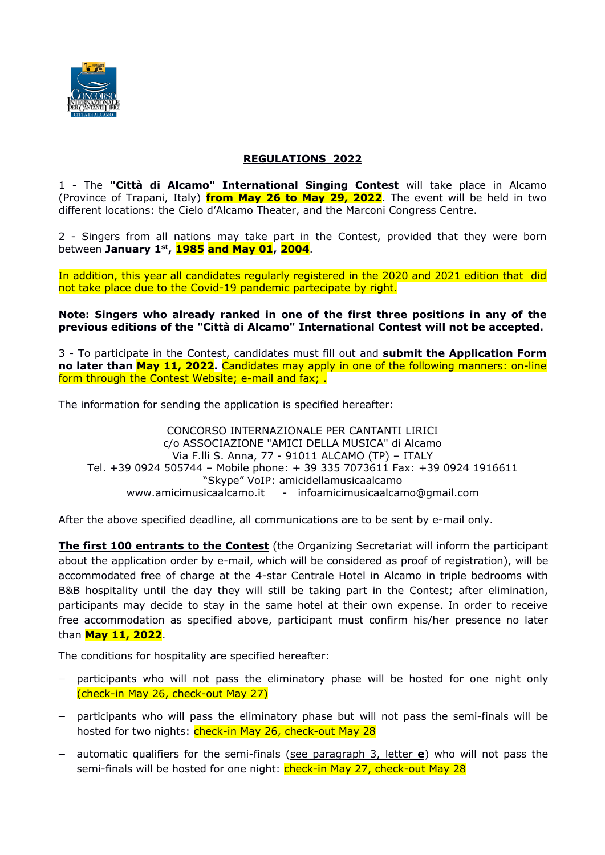

# **REGULATIONS 2022**

1 - The **"Città di Alcamo" International Singing Contest** will take place in Alcamo (Province of Trapani, Italy) **from May 26 to May 29, 2022**. The event will be held in two different locations: the Cielo d'Alcamo Theater, and the Marconi Congress Centre.

2 - Singers from all nations may take part in the Contest, provided that they were born between **January 1st, 1985 and May 01, 2004**.

In addition, this year all candidates regularly registered in the 2020 and 2021 edition that did not take place due to the Covid-19 pandemic partecipate by right.

**Note: Singers who already ranked in one of the first three positions in any of the previous editions of the "Città di Alcamo" International Contest will not be accepted.**

3 - To participate in the Contest, candidates must fill out and **submit the Application Form no later than May 11, 2022.** Candidates may apply in one of the following manners: on-line form through the Contest Website; e-mail and fax; .

The information for sending the application is specified hereafter:

CONCORSO INTERNAZIONALE PER CANTANTI LIRICI c/o ASSOCIAZIONE "AMICI DELLA MUSICA" di Alcamo Via F.lli S. Anna, 77 - 91011 ALCAMO (TP) – ITALY Tel. +39 0924 505744 – Mobile phone: + 39 335 7073611 Fax: +39 0924 1916611 "Skype" VoIP: amicidellamusicaalcamo www.amicimusicaalcamo.it - infoamicimusicaalcamo@gmail.com

After the above specified deadline, all communications are to be sent by e-mail only.

**The first 100 entrants to the Contest** (the Organizing Secretariat will inform the participant about the application order by e-mail, which will be considered as proof of registration), will be accommodated free of charge at the 4-star Centrale Hotel in Alcamo in triple bedrooms with B&B hospitality until the day they will still be taking part in the Contest; after elimination, participants may decide to stay in the same hotel at their own expense. In order to receive free accommodation as specified above, participant must confirm his/her presence no later than **May 11, 2022**.

The conditions for hospitality are specified hereafter:

- participants who will not pass the eliminatory phase will be hosted for one night only (check-in May 26, check-out May 27)
- participants who will pass the eliminatory phase but will not pass the semi-finals will be hosted for two nights: check-in May 26, check-out May 28
- automatic qualifiers for the semi-finals (see paragraph 3, letter **e**) who will not pass the semi-finals will be hosted for one night: check-in May 27, check-out May 28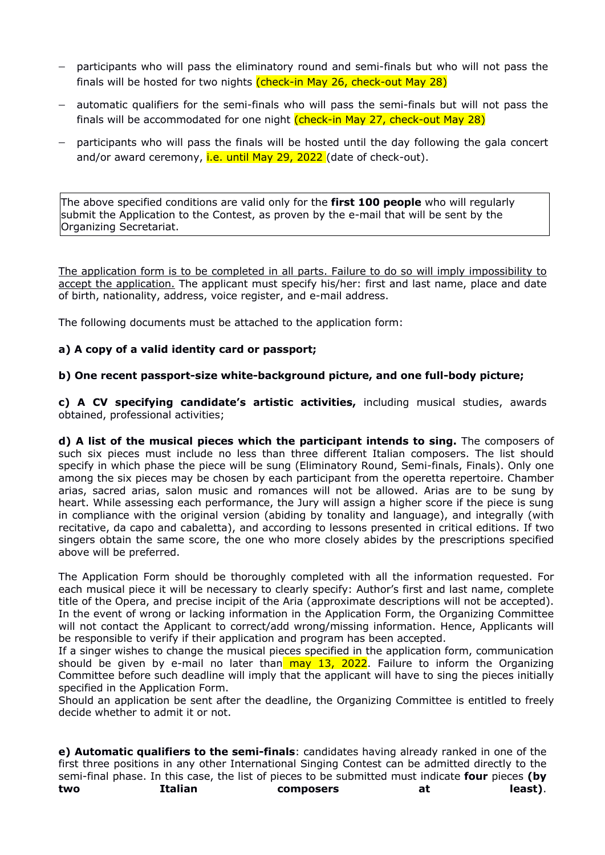- participants who will pass the eliminatory round and semi-finals but who will not pass the finals will be hosted for two nights (check-in May 26, check-out May 28)
- automatic qualifiers for the semi-finals who will pass the semi-finals but will not pass the finals will be accommodated for one night (check-in May 27, check-out May 28)
- participants who will pass the finals will be hosted until the day following the gala concert and/or award ceremony, i.e. until May 29, 2022 (date of check-out).

The above specified conditions are valid only for the **first 100 people** who will regularly submit the Application to the Contest, as proven by the e-mail that will be sent by the Organizing Secretariat.

The application form is to be completed in all parts. Failure to do so will imply impossibility to accept the application. The applicant must specify his/her: first and last name, place and date of birth, nationality, address, voice register, and e-mail address.

The following documents must be attached to the application form:

## **a) A copy of a valid identity card or passport;**

### **b) One recent passport-size white-background picture, and one full-body picture;**

**c) A CV specifying candidate's artistic activities,** including musical studies, awards obtained, professional activities;

**d) A list of the musical pieces which the participant intends to sing.** The composers of such six pieces must include no less than three different Italian composers. The list should specify in which phase the piece will be sung (Eliminatory Round, Semi-finals, Finals). Only one among the six pieces may be chosen by each participant from the operetta repertoire. Chamber arias, sacred arias, salon music and romances will not be allowed. Arias are to be sung by heart. While assessing each performance, the Jury will assign a higher score if the piece is sung in compliance with the original version (abiding by tonality and language), and integrally (with recitative, da capo and cabaletta), and according to lessons presented in critical editions. If two singers obtain the same score, the one who more closely abides by the prescriptions specified above will be preferred.

The Application Form should be thoroughly completed with all the information requested. For each musical piece it will be necessary to clearly specify: Author's first and last name, complete title of the Opera, and precise incipit of the Aria (approximate descriptions will not be accepted). In the event of wrong or lacking information in the Application Form, the Organizing Committee will not contact the Applicant to correct/add wrong/missing information. Hence, Applicants will be responsible to verify if their application and program has been accepted.

If a singer wishes to change the musical pieces specified in the application form, communication should be given by e-mail no later than may 13, 2022. Failure to inform the Organizing Committee before such deadline will imply that the applicant will have to sing the pieces initially specified in the Application Form.

Should an application be sent after the deadline, the Organizing Committee is entitled to freely decide whether to admit it or not.

**e) Automatic qualifiers to the semi-finals**: candidates having already ranked in one of the first three positions in any other International Singing Contest can be admitted directly to the semi-final phase. In this case, the list of pieces to be submitted must indicate **four** pieces **(by two Italian composers at least)**.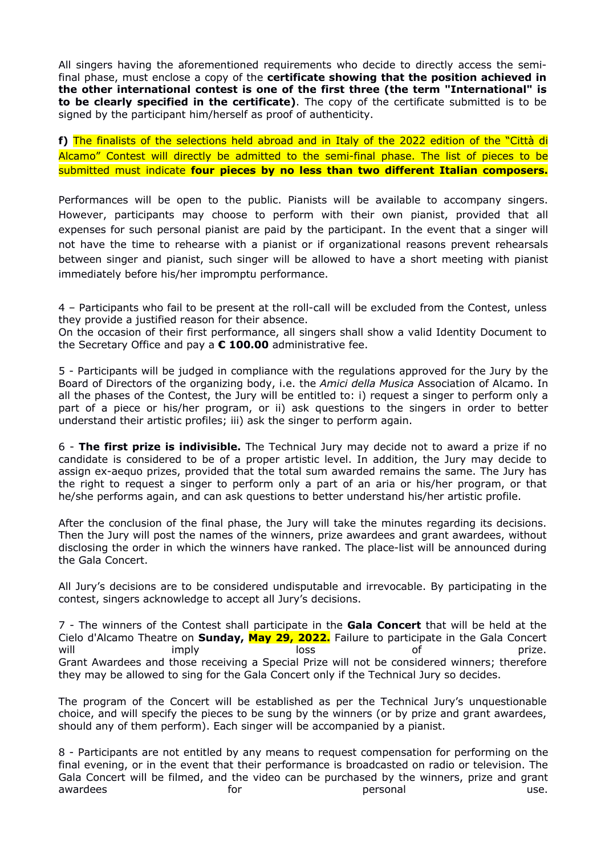All singers having the aforementioned requirements who decide to directly access the semifinal phase, must enclose a copy of the **certificate showing that the position achieved in the other international contest is one of the first three (the term "International" is to be clearly specified in the certificate)**. The copy of the certificate submitted is to be signed by the participant him/herself as proof of authenticity.

**f)** The finalists of the selections held abroad and in Italy of the 2022 edition of the "Città di Alcamo" Contest will directly be admitted to the semi-final phase. The list of pieces to be submitted must indicate **four pieces by no less than two different Italian composers.**

Performances will be open to the public. Pianists will be available to accompany singers. However, participants may choose to perform with their own pianist, provided that all expenses for such personal pianist are paid by the participant. In the event that a singer will not have the time to rehearse with a pianist or if organizational reasons prevent rehearsals between singer and pianist, such singer will be allowed to have a short meeting with pianist immediately before his/her impromptu performance.

4 – Participants who fail to be present at the roll-call will be excluded from the Contest, unless they provide a justified reason for their absence.

On the occasion of their first performance, all singers shall show a valid Identity Document to the Secretary Office and pay a **€ 100.00** administrative fee.

5 - Participants will be judged in compliance with the regulations approved for the Jury by the Board of Directors of the organizing body, i.e. the *Amici della Musica* Association of Alcamo. In all the phases of the Contest, the Jury will be entitled to: i) request a singer to perform only a part of a piece or his/her program, or ii) ask questions to the singers in order to better understand their artistic profiles; iii) ask the singer to perform again.

6 - **The first prize is indivisible.** The Technical Jury may decide not to award a prize if no candidate is considered to be of a proper artistic level. In addition, the Jury may decide to assign ex-aequo prizes, provided that the total sum awarded remains the same. The Jury has the right to request a singer to perform only a part of an aria or his/her program, or that he/she performs again, and can ask questions to better understand his/her artistic profile.

After the conclusion of the final phase, the Jury will take the minutes regarding its decisions. Then the Jury will post the names of the winners, prize awardees and grant awardees, without disclosing the order in which the winners have ranked. The place-list will be announced during the Gala Concert.

All Jury's decisions are to be considered undisputable and irrevocable. By participating in the contest, singers acknowledge to accept all Jury's decisions.

7 - The winners of the Contest shall participate in the **Gala Concert** that will be held at the Cielo d'Alcamo Theatre on **Sunday, May 29, 2022.** Failure to participate in the Gala Concert will imply loss of prize. Grant Awardees and those receiving a Special Prize will not be considered winners; therefore they may be allowed to sing for the Gala Concert only if the Technical Jury so decides.

The program of the Concert will be established as per the Technical Jury's unquestionable choice, and will specify the pieces to be sung by the winners (or by prize and grant awardees, should any of them perform). Each singer will be accompanied by a pianist.

8 - Participants are not entitled by any means to request compensation for performing on the final evening, or in the event that their performance is broadcasted on radio or television. The Gala Concert will be filmed, and the video can be purchased by the winners, prize and grant awardees example and the for the personal personal and the subset of the second terms of the second terms of t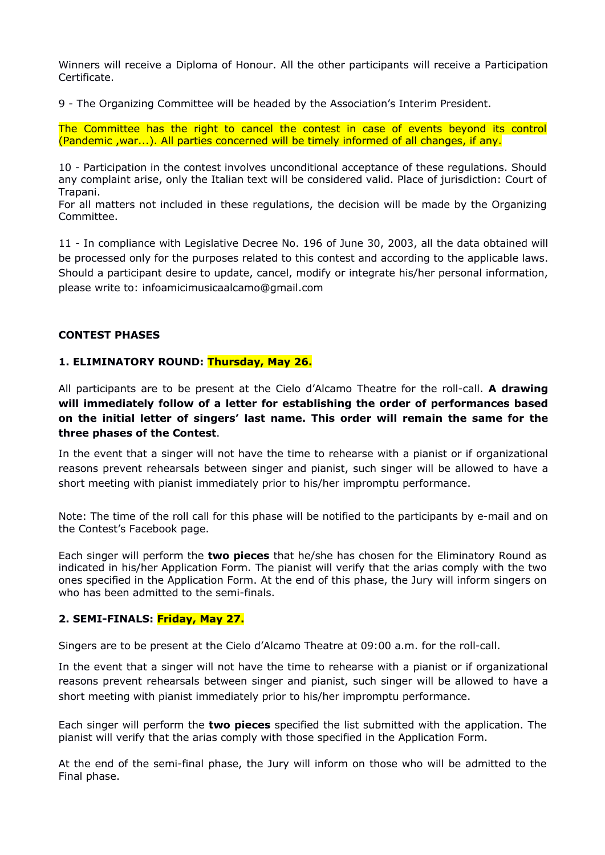Winners will receive a Diploma of Honour. All the other participants will receive a Participation Certificate.

9 - The Organizing Committee will be headed by the Association's Interim President.

The Committee has the right to cancel the contest in case of events beyond its control (Pandemic ,war...). All parties concerned will be timely informed of all changes, if any.

10 - Participation in the contest involves unconditional acceptance of these regulations. Should any complaint arise, only the Italian text will be considered valid. Place of jurisdiction: Court of Trapani.

For all matters not included in these regulations, the decision will be made by the Organizing Committee.

11 - In compliance with Legislative Decree No. 196 of June 30, 2003, all the data obtained will be processed only for the purposes related to this contest and according to the applicable laws. Should a participant desire to update, cancel, modify or integrate his/her personal information, please write to: infoamicimusicaalcamo@gmail.com

### **CONTEST PHASES**

### **1. ELIMINATORY ROUND: Thursday, May 26.**

All participants are to be present at the Cielo d'Alcamo Theatre for the roll-call. **A drawing will immediately follow of a letter for establishing the order of performances based on the initial letter of singers' last name. This order will remain the same for the three phases of the Contest**.

In the event that a singer will not have the time to rehearse with a pianist or if organizational reasons prevent rehearsals between singer and pianist, such singer will be allowed to have a short meeting with pianist immediately prior to his/her impromptu performance.

Note: The time of the roll call for this phase will be notified to the participants by e-mail and on the Contest's Facebook page.

Each singer will perform the **two pieces** that he/she has chosen for the Eliminatory Round as indicated in his/her Application Form. The pianist will verify that the arias comply with the two ones specified in the Application Form. At the end of this phase, the Jury will inform singers on who has been admitted to the semi-finals.

#### **2. SEMI-FINALS: Friday, May 27.**

Singers are to be present at the Cielo d'Alcamo Theatre at 09:00 a.m. for the roll-call.

In the event that a singer will not have the time to rehearse with a pianist or if organizational reasons prevent rehearsals between singer and pianist, such singer will be allowed to have a short meeting with pianist immediately prior to his/her impromptu performance.

Each singer will perform the **two pieces** specified the list submitted with the application. The pianist will verify that the arias comply with those specified in the Application Form.

At the end of the semi-final phase, the Jury will inform on those who will be admitted to the Final phase.